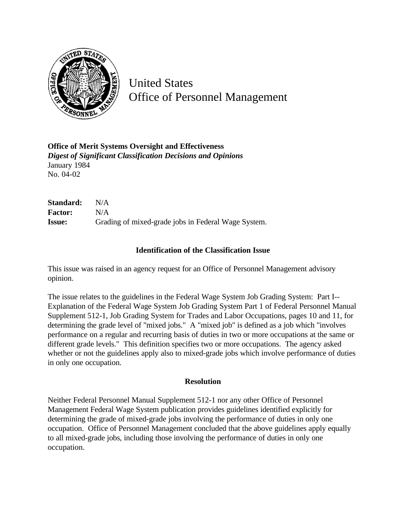

United States Office of Personnel Management

**Office of Merit Systems Oversight and Effectiveness** *Digest of Significant Classification Decisions and Opinions* January 1984 No. 04-02

| Standard:      | N/A                                                 |
|----------------|-----------------------------------------------------|
| <b>Factor:</b> | N/A                                                 |
| <b>Issue:</b>  | Grading of mixed-grade jobs in Federal Wage System. |

## **Identification of the Classification Issue**

This issue was raised in an agency request for an Office of Personnel Management advisory opinion.

The issue relates to the guidelines in the Federal Wage System Job Grading System: Part I-- Explanation of the Federal Wage System Job Grading System Part 1 of Federal Personnel Manual Supplement 512-1, Job Grading System for Trades and Labor Occupations, pages 10 and 11, for determining the grade level of "mixed jobs." A "mixed job" is defined as a job which "involves performance on a regular and recurring basis of duties in two or more occupations at the same or different grade levels." This definition specifies two or more occupations. The agency asked whether or not the guidelines apply also to mixed-grade jobs which involve performance of duties in only one occupation.

## **Resolution**

Neither Federal Personnel Manual Supplement 512-1 nor any other Office of Personnel Management Federal Wage System publication provides guidelines identified explicitly for determining the grade of mixed-grade jobs involving the performance of duties in only one occupation. Office of Personnel Management concluded that the above guidelines apply equally to all mixed-grade jobs, including those involving the performance of duties in only one occupation.